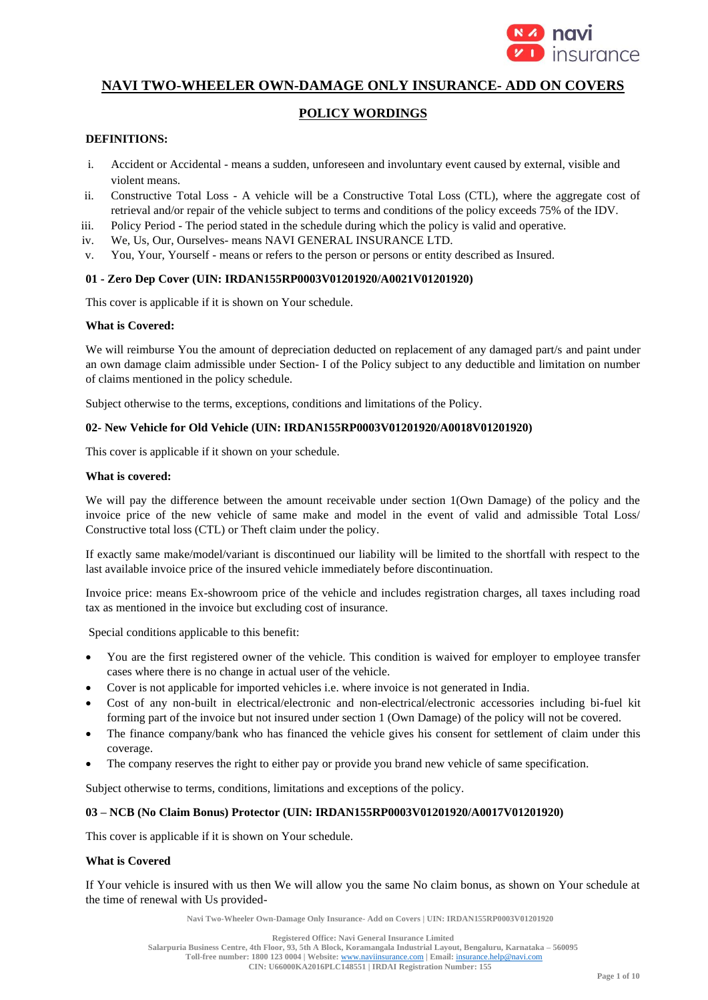

# **NAVI TWO-WHEELER OWN-DAMAGE ONLY INSURANCE- ADD ON COVERS**

# **POLICY WORDINGS**

#### **DEFINITIONS:**

- i. Accident or Accidental means a sudden, unforeseen and involuntary event caused by external, visible and violent means.
- ii. Constructive Total Loss A vehicle will be a Constructive Total Loss (CTL), where the aggregate cost of retrieval and/or repair of the vehicle subject to terms and conditions of the policy exceeds 75% of the IDV.
- iii. Policy Period The period stated in the schedule during which the policy is valid and operative.
- iv. We, Us, Our, Ourselves- means NAVI GENERAL INSURANCE LTD.
- v. You, Your, Yourself means or refers to the person or persons or entity described as Insured.

#### **01 - Zero Dep Cover (UIN: IRDAN155RP0003V01201920/A0021V01201920)**

This cover is applicable if it is shown on Your schedule.

#### **What is Covered:**

We will reimburse You the amount of depreciation deducted on replacement of any damaged part/s and paint under an own damage claim admissible under Section- I of the Policy subject to any deductible and limitation on number of claims mentioned in the policy schedule.

Subject otherwise to the terms, exceptions, conditions and limitations of the Policy.

#### **02- New Vehicle for Old Vehicle (UIN: IRDAN155RP0003V01201920/A0018V01201920)**

This cover is applicable if it shown on your schedule.

#### **What is covered:**

We will pay the difference between the amount receivable under section 1(Own Damage) of the policy and the invoice price of the new vehicle of same make and model in the event of valid and admissible Total Loss/ Constructive total loss (CTL) or Theft claim under the policy.

If exactly same make/model/variant is discontinued our liability will be limited to the shortfall with respect to the last available invoice price of the insured vehicle immediately before discontinuation.

Invoice price: means Ex-showroom price of the vehicle and includes registration charges, all taxes including road tax as mentioned in the invoice but excluding cost of insurance.

Special conditions applicable to this benefit:

- You are the first registered owner of the vehicle. This condition is waived for employer to employee transfer cases where there is no change in actual user of the vehicle.
- Cover is not applicable for imported vehicles i.e. where invoice is not generated in India.
- Cost of any non-built in electrical/electronic and non-electrical/electronic accessories including bi-fuel kit forming part of the invoice but not insured under section 1 (Own Damage) of the policy will not be covered.
- The finance company/bank who has financed the vehicle gives his consent for settlement of claim under this coverage.
- The company reserves the right to either pay or provide you brand new vehicle of same specification.

Subject otherwise to terms, conditions, limitations and exceptions of the policy.

#### **03 – NCB (No Claim Bonus) Protector (UIN: IRDAN155RP0003V01201920/A0017V01201920)**

This cover is applicable if it is shown on Your schedule.

#### **What is Covered**

If Your vehicle is insured with us then We will allow you the same No claim bonus, as shown on Your schedule at the time of renewal with Us provided-

**Navi Two-Wheeler Own-Damage Only Insurance- Add on Covers | UIN: IRDAN155RP0003V01201920**

**Registered Office: Navi General Insurance Limited**

**Salarpuria Business Centre, 4th Floor, 93, 5th A Block, Koramangala Industrial Layout, Bengaluru, Karnataka – 560095**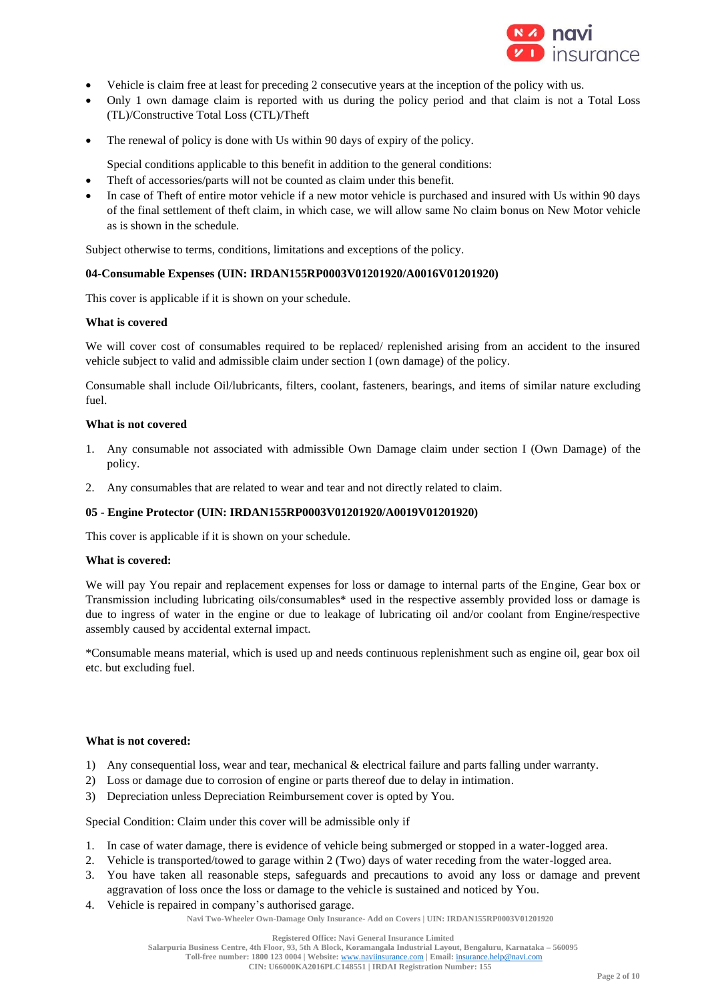

- Vehicle is claim free at least for preceding 2 consecutive years at the inception of the policy with us.
- Only 1 own damage claim is reported with us during the policy period and that claim is not a Total Loss (TL)/Constructive Total Loss (CTL)/Theft
- The renewal of policy is done with Us within 90 days of expiry of the policy.

Special conditions applicable to this benefit in addition to the general conditions:

- Theft of accessories/parts will not be counted as claim under this benefit.
- In case of Theft of entire motor vehicle if a new motor vehicle is purchased and insured with Us within 90 days of the final settlement of theft claim, in which case, we will allow same No claim bonus on New Motor vehicle as is shown in the schedule.

Subject otherwise to terms, conditions, limitations and exceptions of the policy.

## **04-Consumable Expenses (UIN: IRDAN155RP0003V01201920/A0016V01201920)**

This cover is applicable if it is shown on your schedule.

#### **What is covered**

We will cover cost of consumables required to be replaced/ replenished arising from an accident to the insured vehicle subject to valid and admissible claim under section I (own damage) of the policy.

Consumable shall include Oil/lubricants, filters, coolant, fasteners, bearings, and items of similar nature excluding fuel.

#### **What is not covered**

- 1. Any consumable not associated with admissible Own Damage claim under section I (Own Damage) of the policy.
- 2. Any consumables that are related to wear and tear and not directly related to claim.

#### **05 - Engine Protector (UIN: IRDAN155RP0003V01201920/A0019V01201920)**

This cover is applicable if it is shown on your schedule.

#### **What is covered:**

We will pay You repair and replacement expenses for loss or damage to internal parts of the Engine, Gear box or Transmission including lubricating oils/consumables\* used in the respective assembly provided loss or damage is due to ingress of water in the engine or due to leakage of lubricating oil and/or coolant from Engine/respective assembly caused by accidental external impact.

\*Consumable means material, which is used up and needs continuous replenishment such as engine oil, gear box oil etc. but excluding fuel.

#### **What is not covered:**

- 1) Any consequential loss, wear and tear, mechanical & electrical failure and parts falling under warranty.
- 2) Loss or damage due to corrosion of engine or parts thereof due to delay in intimation.
- 3) Depreciation unless Depreciation Reimbursement cover is opted by You.

Special Condition: Claim under this cover will be admissible only if

- 1. In case of water damage, there is evidence of vehicle being submerged or stopped in a water-logged area.
- 2. Vehicle is transported/towed to garage within 2 (Two) days of water receding from the water-logged area.
- 3. You have taken all reasonable steps, safeguards and precautions to avoid any loss or damage and prevent aggravation of loss once the loss or damage to the vehicle is sustained and noticed by You.
- 4. Vehicle is repaired in company's authorised garage.

**Navi Two-Wheeler Own-Damage Only Insurance- Add on Covers | UIN: IRDAN155RP0003V01201920**

**Registered Office: Navi General Insurance Limited**

**Salarpuria Business Centre, 4th Floor, 93, 5th A Block, Koramangala Industrial Layout, Bengaluru, Karnataka – 560095**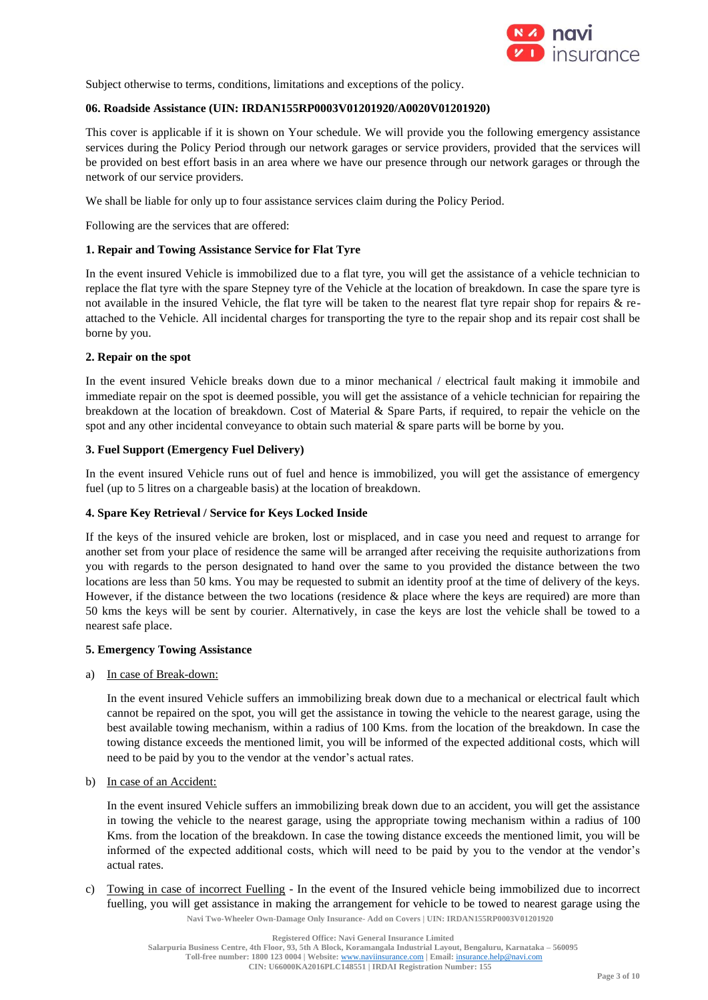

Subject otherwise to terms, conditions, limitations and exceptions of the policy.

#### **06. Roadside Assistance (UIN: IRDAN155RP0003V01201920/A0020V01201920)**

This cover is applicable if it is shown on Your schedule. We will provide you the following emergency assistance services during the Policy Period through our network garages or service providers, provided that the services will be provided on best effort basis in an area where we have our presence through our network garages or through the network of our service providers.

We shall be liable for only up to four assistance services claim during the Policy Period.

Following are the services that are offered:

#### **1. Repair and Towing Assistance Service for Flat Tyre**

In the event insured Vehicle is immobilized due to a flat tyre, you will get the assistance of a vehicle technician to replace the flat tyre with the spare Stepney tyre of the Vehicle at the location of breakdown. In case the spare tyre is not available in the insured Vehicle, the flat tyre will be taken to the nearest flat tyre repair shop for repairs & reattached to the Vehicle. All incidental charges for transporting the tyre to the repair shop and its repair cost shall be borne by you.

#### **2. Repair on the spot**

In the event insured Vehicle breaks down due to a minor mechanical / electrical fault making it immobile and immediate repair on the spot is deemed possible, you will get the assistance of a vehicle technician for repairing the breakdown at the location of breakdown. Cost of Material & Spare Parts, if required, to repair the vehicle on the spot and any other incidental conveyance to obtain such material  $\&$  spare parts will be borne by you.

#### **3. Fuel Support (Emergency Fuel Delivery)**

In the event insured Vehicle runs out of fuel and hence is immobilized, you will get the assistance of emergency fuel (up to 5 litres on a chargeable basis) at the location of breakdown.

## **4. Spare Key Retrieval / Service for Keys Locked Inside**

If the keys of the insured vehicle are broken, lost or misplaced, and in case you need and request to arrange for another set from your place of residence the same will be arranged after receiving the requisite authorizations from you with regards to the person designated to hand over the same to you provided the distance between the two locations are less than 50 kms. You may be requested to submit an identity proof at the time of delivery of the keys. However, if the distance between the two locations (residence & place where the keys are required) are more than 50 kms the keys will be sent by courier. Alternatively, in case the keys are lost the vehicle shall be towed to a nearest safe place.

#### **5. Emergency Towing Assistance**

a) In case of Break-down:

In the event insured Vehicle suffers an immobilizing break down due to a mechanical or electrical fault which cannot be repaired on the spot, you will get the assistance in towing the vehicle to the nearest garage, using the best available towing mechanism, within a radius of 100 Kms. from the location of the breakdown. In case the towing distance exceeds the mentioned limit, you will be informed of the expected additional costs, which will need to be paid by you to the vendor at the vendor's actual rates.

b) In case of an Accident:

In the event insured Vehicle suffers an immobilizing break down due to an accident, you will get the assistance in towing the vehicle to the nearest garage, using the appropriate towing mechanism within a radius of 100 Kms. from the location of the breakdown. In case the towing distance exceeds the mentioned limit, you will be informed of the expected additional costs, which will need to be paid by you to the vendor at the vendor's actual rates.

c) Towing in case of incorrect Fuelling - In the event of the Insured vehicle being immobilized due to incorrect fuelling, you will get assistance in making the arrangement for vehicle to be towed to nearest garage using the

**Navi Two-Wheeler Own-Damage Only Insurance- Add on Covers | UIN: IRDAN155RP0003V01201920**

**Salarpuria Business Centre, 4th Floor, 93, 5th A Block, Koramangala Industrial Layout, Bengaluru, Karnataka – 560095 Toll-free number: 1800 123 0004 | Website:** [www.naviinsurance.com](http://www.naviinsurance.com/) **| Email:** [insurance.help@navi.com](mailto:insurance.help@navi.com)

**CIN: U66000KA2016PLC148551 | IRDAI Registration Number: 155**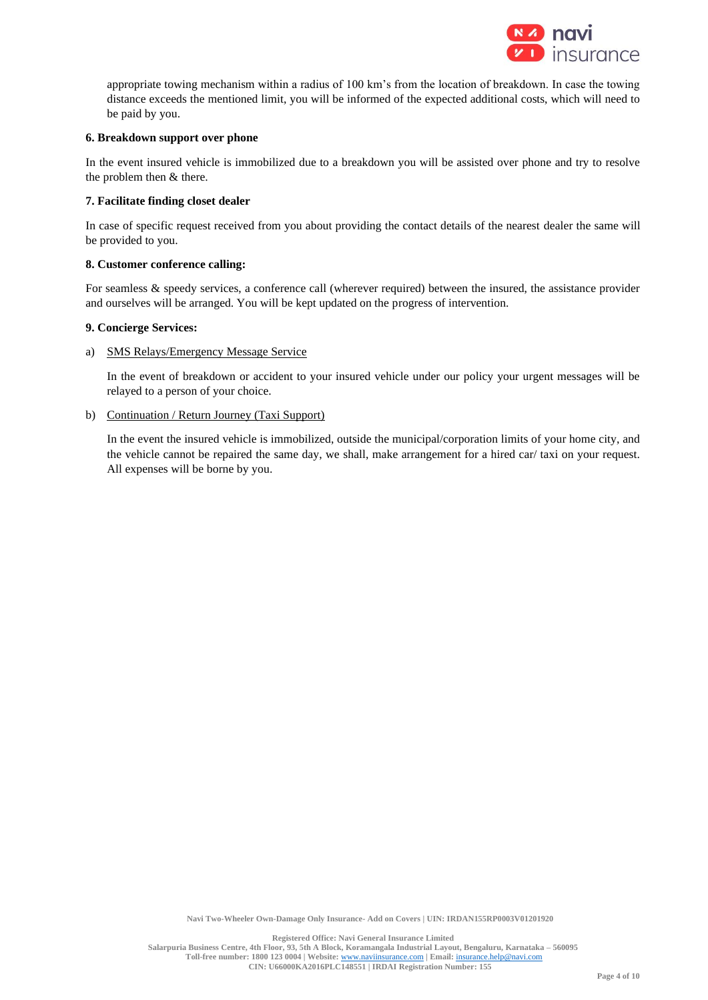

appropriate towing mechanism within a radius of 100 km's from the location of breakdown. In case the towing distance exceeds the mentioned limit, you will be informed of the expected additional costs, which will need to be paid by you.

## **6. Breakdown support over phone**

In the event insured vehicle is immobilized due to a breakdown you will be assisted over phone and try to resolve the problem then & there.

#### **7. Facilitate finding closet dealer**

In case of specific request received from you about providing the contact details of the nearest dealer the same will be provided to you.

#### **8. Customer conference calling:**

For seamless & speedy services, a conference call (wherever required) between the insured, the assistance provider and ourselves will be arranged. You will be kept updated on the progress of intervention.

#### **9. Concierge Services:**

#### a) SMS Relays/Emergency Message Service

In the event of breakdown or accident to your insured vehicle under our policy your urgent messages will be relayed to a person of your choice.

## b) Continuation / Return Journey (Taxi Support)

In the event the insured vehicle is immobilized, outside the municipal/corporation limits of your home city, and the vehicle cannot be repaired the same day, we shall, make arrangement for a hired car/ taxi on your request. All expenses will be borne by you.

**Registered Office: Navi General Insurance Limited**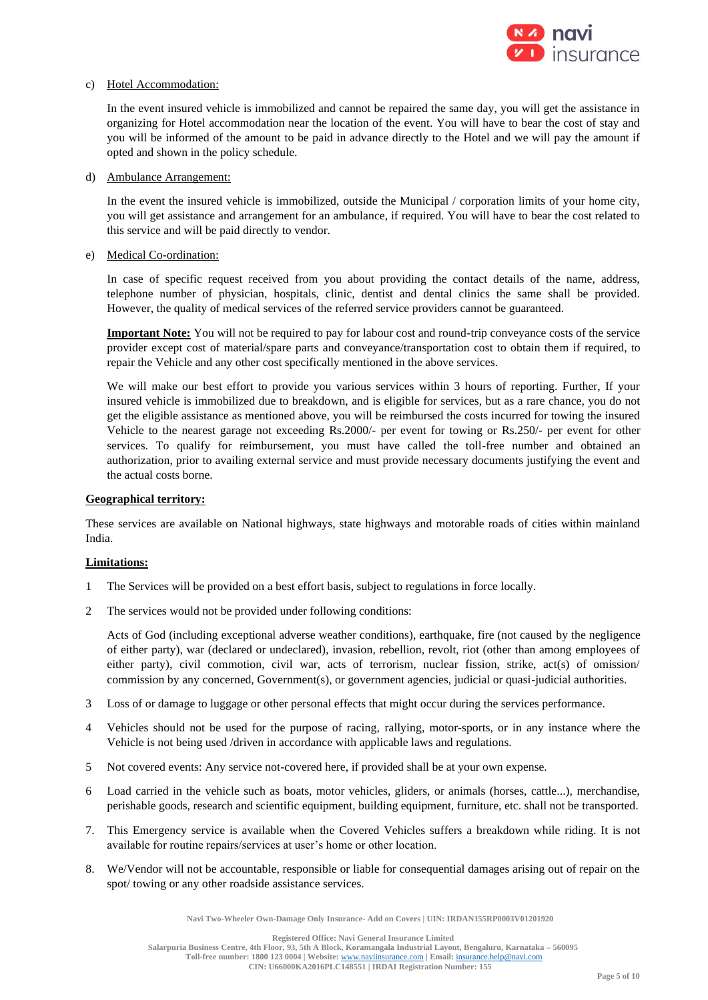

#### c) Hotel Accommodation:

In the event insured vehicle is immobilized and cannot be repaired the same day, you will get the assistance in organizing for Hotel accommodation near the location of the event. You will have to bear the cost of stay and you will be informed of the amount to be paid in advance directly to the Hotel and we will pay the amount if opted and shown in the policy schedule.

#### d) Ambulance Arrangement:

In the event the insured vehicle is immobilized, outside the Municipal / corporation limits of your home city, you will get assistance and arrangement for an ambulance, if required. You will have to bear the cost related to this service and will be paid directly to vendor.

#### e) Medical Co-ordination:

In case of specific request received from you about providing the contact details of the name, address, telephone number of physician, hospitals, clinic, dentist and dental clinics the same shall be provided. However, the quality of medical services of the referred service providers cannot be guaranteed.

**Important Note:** You will not be required to pay for labour cost and round-trip conveyance costs of the service provider except cost of material/spare parts and conveyance/transportation cost to obtain them if required, to repair the Vehicle and any other cost specifically mentioned in the above services.

We will make our best effort to provide you various services within 3 hours of reporting. Further, If your insured vehicle is immobilized due to breakdown, and is eligible for services, but as a rare chance, you do not get the eligible assistance as mentioned above, you will be reimbursed the costs incurred for towing the insured Vehicle to the nearest garage not exceeding Rs.2000/- per event for towing or Rs.250/- per event for other services. To qualify for reimbursement, you must have called the toll-free number and obtained an authorization, prior to availing external service and must provide necessary documents justifying the event and the actual costs borne.

#### **Geographical territory:**

These services are available on National highways, state highways and motorable roads of cities within mainland India.

## **Limitations:**

- 1 The Services will be provided on a best effort basis, subject to regulations in force locally.
- 2 The services would not be provided under following conditions:

Acts of God (including exceptional adverse weather conditions), earthquake, fire (not caused by the negligence of either party), war (declared or undeclared), invasion, rebellion, revolt, riot (other than among employees of either party), civil commotion, civil war, acts of terrorism, nuclear fission, strike, act(s) of omission/ commission by any concerned, Government(s), or government agencies, judicial or quasi-judicial authorities.

- 3 Loss of or damage to luggage or other personal effects that might occur during the services performance.
- 4 Vehicles should not be used for the purpose of racing, rallying, motor-sports, or in any instance where the Vehicle is not being used /driven in accordance with applicable laws and regulations.
- 5 Not covered events: Any service not-covered here, if provided shall be at your own expense.
- 6 Load carried in the vehicle such as boats, motor vehicles, gliders, or animals (horses, cattle...), merchandise, perishable goods, research and scientific equipment, building equipment, furniture, etc. shall not be transported.
- 7. This Emergency service is available when the Covered Vehicles suffers a breakdown while riding. It is not available for routine repairs/services at user's home or other location.
- 8. We/Vendor will not be accountable, responsible or liable for consequential damages arising out of repair on the spot/ towing or any other roadside assistance services.

**Navi Two-Wheeler Own-Damage Only Insurance- Add on Covers | UIN: IRDAN155RP0003V01201920**

**Registered Office: Navi General Insurance Limited**

**Salarpuria Business Centre, 4th Floor, 93, 5th A Block, Koramangala Industrial Layout, Bengaluru, Karnataka – 560095 Toll-free number: 1800 123 0004 | Website:** [www.naviinsurance.com](http://www.naviinsurance.com/) **| Email:** [insurance.help@navi.com](mailto:insurance.help@navi.com)

**CIN: U66000KA2016PLC148551 | IRDAI Registration Number: 155**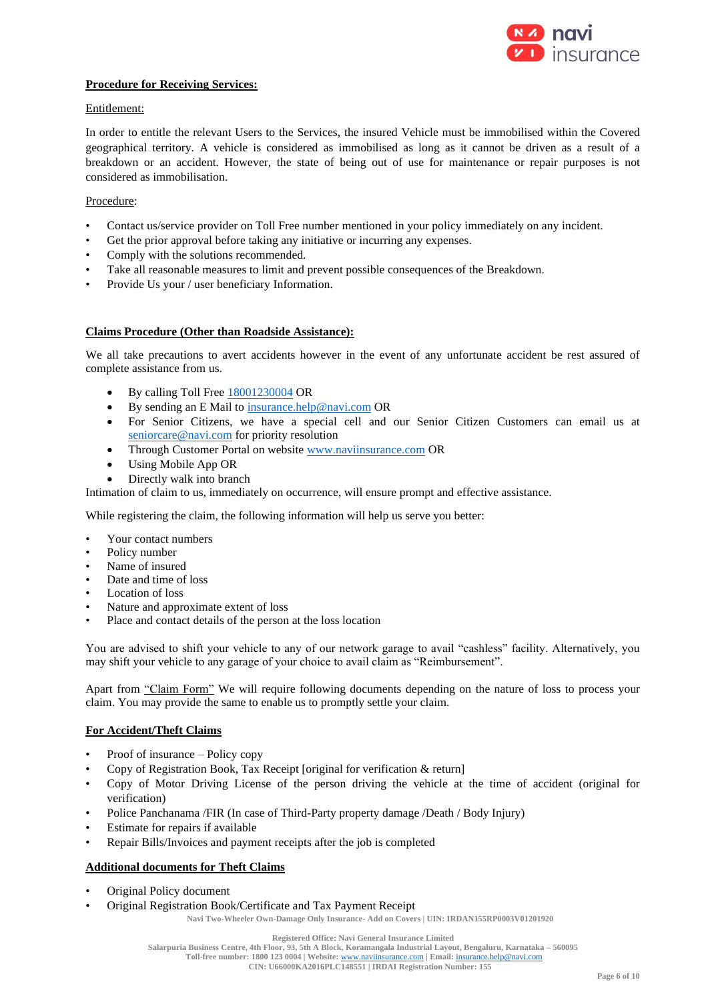

## **Procedure for Receiving Services:**

## Entitlement:

In order to entitle the relevant Users to the Services, the insured Vehicle must be immobilised within the Covered geographical territory. A vehicle is considered as immobilised as long as it cannot be driven as a result of a breakdown or an accident. However, the state of being out of use for maintenance or repair purposes is not considered as immobilisation.

## Procedure:

- Contact us/service provider on Toll Free number mentioned in your policy immediately on any incident.
- Get the prior approval before taking any initiative or incurring any expenses.
- Comply with the solutions recommended.
- Take all reasonable measures to limit and prevent possible consequences of the Breakdown.
- Provide Us your / user beneficiary Information.

## **Claims Procedure (Other than Roadside Assistance):**

We all take precautions to avert accidents however in the event of any unfortunate accident be rest assured of complete assistance from us.

- By calling Toll Free 18001230004 OR
- By sending an E Mail to insurance.help@navi.com OR
- For Senior Citizens, we have a special cell and our Senior Citizen Customers can email us at seniorcare@navi.com for priority resolution
- Through Customer Portal on website www.naviinsurance.com OR
- Using Mobile App OR
- Directly walk into branch

Intimation of claim to us, immediately on occurrence, will ensure prompt and effective assistance.

While registering the claim, the following information will help us serve you better:

- Your contact numbers
- Policy number
- Name of insured
- Date and time of loss
- Location of loss
- Nature and approximate extent of loss
- Place and contact details of the person at the loss location

You are advised to shift your vehicle to any of our network garage to avail "cashless" facility. Alternatively, you may shift your vehicle to any garage of your choice to avail claim as "Reimbursement".

Apart from "Claim Form" We will require following documents depending on the nature of loss to process your claim. You may provide the same to enable us to promptly settle your claim.

## **For Accident/Theft Claims**

- Proof of insurance Policy copy
- Copy of Registration Book, Tax Receipt [original for verification & return]
- Copy of Motor Driving License of the person driving the vehicle at the time of accident (original for verification)
- Police Panchanama /FIR (In case of Third-Party property damage /Death / Body Injury)
- Estimate for repairs if available
- Repair Bills/Invoices and payment receipts after the job is completed

## **Additional documents for Theft Claims**

- Original Policy document
- Original Registration Book/Certificate and Tax Payment Receipt

**Navi Two-Wheeler Own-Damage Only Insurance- Add on Covers | UIN: IRDAN155RP0003V01201920**

**Registered Office: Navi General Insurance Limited**

**Salarpuria Business Centre, 4th Floor, 93, 5th A Block, Koramangala Industrial Layout, Bengaluru, Karnataka – 560095**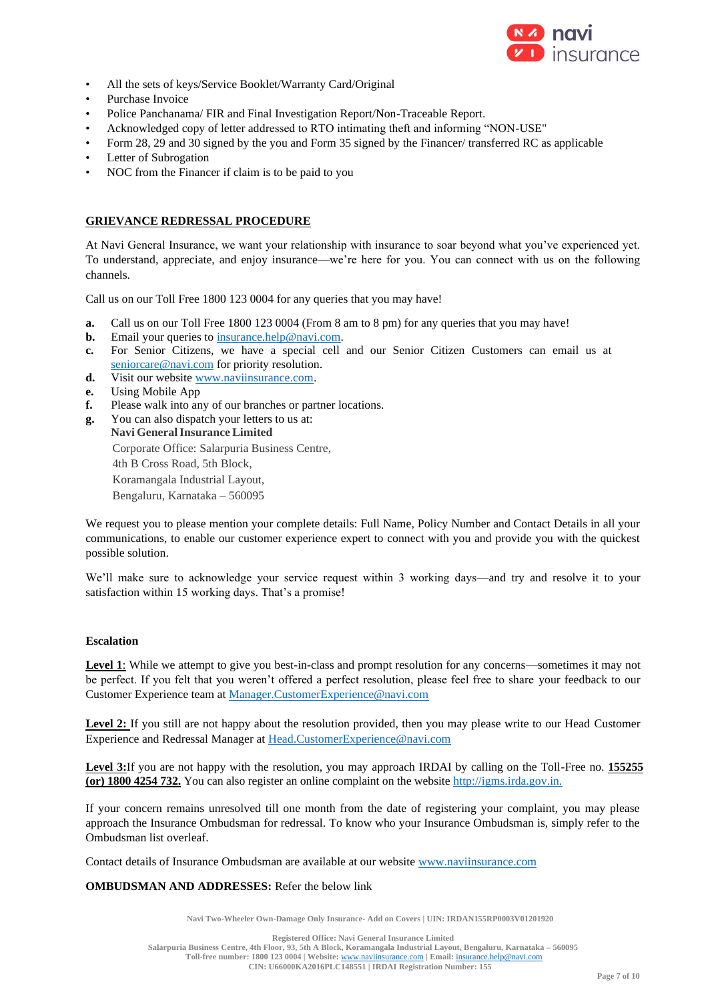

- All the sets of keys/Service Booklet/Warranty Card/Original
- Purchase Invoice
- Police Panchanama/ FIR and Final Investigation Report/Non-Traceable Report.
- Acknowledged copy of letter addressed to RTO intimating theft and informing "NON-USE"
- Form 28, 29 and 30 signed by the you and Form 35 signed by the Financer/ transferred RC as applicable
- Letter of Subrogation
- NOC from the Financer if claim is to be paid to you

## **GRIEVANCE REDRESSAL PROCEDURE**

At Navi General Insurance, we want your relationship with insurance to soar beyond what you've experienced yet. To understand, appreciate, and enjoy insurance—we're here for you. You can connect with us on the following channels.

Call us on our Toll Free 1800 123 0004 for any queries that you may have!

- **a.** Call us on our Toll Free 1800 123 0004 (From 8 am to 8 pm) for any queries that you may have!
- **b.** Email your queries to [insurance.help@navi.com.](mailto:insurance.help@navi.com)
- **c.** For Senior Citizens, we have a special cell and our Senior Citizen Customers can email us at seniorcare@navi.com for priority resolution.
- **d.** Visit our website [www.naviinsurance.com.](http://www.naviinsurance.com/)
- **e.** Using Mobile App
- **f.** Please walk into any of our branches or partner locations.
- **g.** You can also dispatch your letters to us at: **Navi GeneralInsurance Limited** Corporate Office: Salarpuria Business Centre, 4th B Cross Road, 5th Block, Koramangala Industrial Layout, Bengaluru, Karnataka – 560095

We request you to please mention your complete details: Full Name, Policy Number and Contact Details in all your communications, to enable our customer experience expert to connect with you and provide you with the quickest possible solution.

We'll make sure to acknowledge your service request within 3 working days—and try and resolve it to your satisfaction within 15 working days. That's a promise!

## **Escalation**

Level 1: While we attempt to give you best-in-class and prompt resolution for any concerns—sometimes it may not be perfect. If you felt that you weren't offered a perfect resolution, please feel free to share your feedback to our Customer Experience team at [Manager.CustomerExperience@navi.com](mailto:Manager.CustomerExperience@navi.com)

**Level 2:** If you still are not happy about the resolution provided, then you may please write to our Head Customer Experience and Redressal Manager a[t Head.CustomerExperience@navi.com](mailto:Head.CustomerExperience@navi.com)

Level 3:If you are not happy with the resolution, you may approach IRDAI by calling on the Toll-Free no. 155255 **(or) 1800 4254 732.** You can also register an online complaint on the website [http://igms.irda.gov.in.](http://igms.irda.gov.in/)

If your concern remains unresolved till one month from the date of registering your complaint, you may please approach the Insurance Ombudsman for redressal. To know who your Insurance Ombudsman is, simply refer to the Ombudsman list overleaf.

Contact details of Insurance Ombudsman are available at our website [www.naviinsurance.com](http://www.naviinsurance.com/)

## **OMBUDSMAN AND ADDRESSES:** Refer the below link

**Navi Two-Wheeler Own-Damage Only Insurance- Add on Covers | UIN: IRDAN155RP0003V01201920**

**Registered Office: Navi General Insurance Limited**

**Salarpuria Business Centre, 4th Floor, 93, 5th A Block, Koramangala Industrial Layout, Bengaluru, Karnataka – 560095 Toll-free number: 1800 123 0004 | Website:** [www.naviinsurance.com](http://www.naviinsurance.com/) **| Email:** [insurance.help@navi.com](mailto:insurance.help@navi.com)

**CIN: U66000KA2016PLC148551 | IRDAI Registration Number: 155**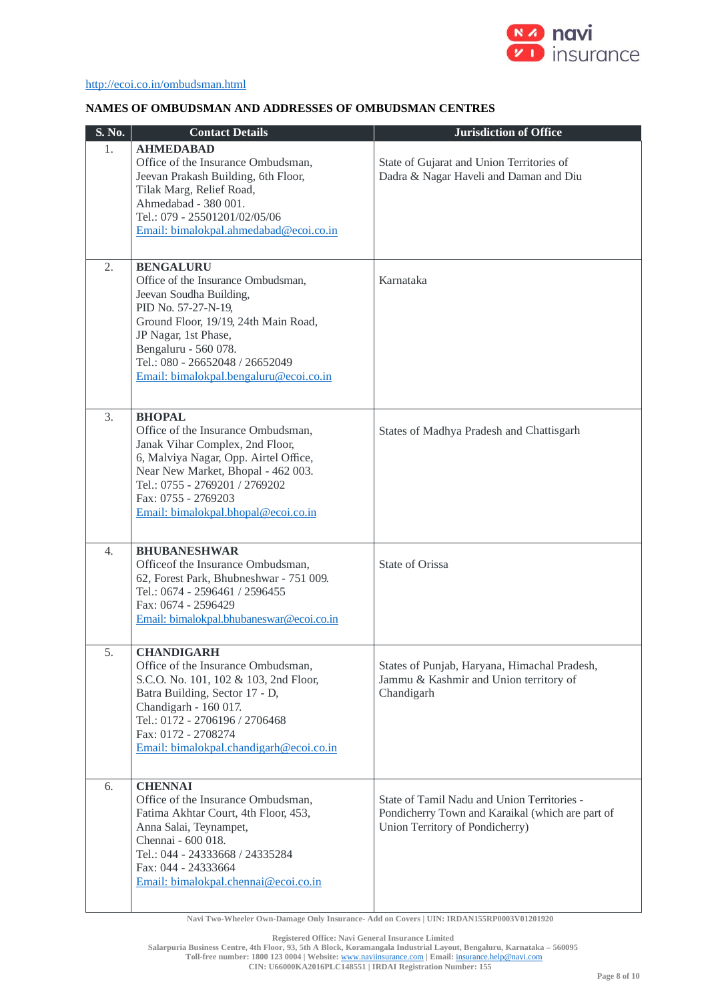

## <http://ecoi.co.in/ombudsman.html>

## **NAMES OF OMBUDSMAN AND ADDRESSES OF OMBUDSMAN CENTRES**

| S. No. | <b>Contact Details</b>                                                                                                                                                                                                                                                        | <b>Jurisdiction of Office</b>                                                                                                      |
|--------|-------------------------------------------------------------------------------------------------------------------------------------------------------------------------------------------------------------------------------------------------------------------------------|------------------------------------------------------------------------------------------------------------------------------------|
| 1.     | <b>AHMEDABAD</b><br>Office of the Insurance Ombudsman,<br>Jeevan Prakash Building, 6th Floor,<br>Tilak Marg, Relief Road,<br>Ahmedabad - 380 001.<br>Tel.: 079 - 25501201/02/05/06<br>Email: bimalokpal.ahmedabad@ecoi.co.in                                                  | State of Gujarat and Union Territories of<br>Dadra & Nagar Haveli and Daman and Diu                                                |
| 2.     | <b>BENGALURU</b><br>Office of the Insurance Ombudsman,<br>Jeevan Soudha Building,<br>PID No. 57-27-N-19,<br>Ground Floor, 19/19, 24th Main Road,<br>JP Nagar, 1st Phase,<br>Bengaluru - 560 078.<br>Tel.: 080 - 26652048 / 26652049<br>Email: bimalokpal.bengaluru@ecoi.co.in | Karnataka                                                                                                                          |
| 3.     | <b>BHOPAL</b><br>Office of the Insurance Ombudsman,<br>Janak Vihar Complex, 2nd Floor,<br>6, Malviya Nagar, Opp. Airtel Office,<br>Near New Market, Bhopal - 462 003.<br>Tel.: 0755 - 2769201 / 2769202<br>Fax: 0755 - 2769203<br>Email: bimalokpal.bhopal@ecoi.co.in         | States of Madhya Pradesh and Chattisgarh                                                                                           |
| 4.     | <b>BHUBANESHWAR</b><br>Officeof the Insurance Ombudsman,<br>62, Forest Park, Bhubneshwar - 751 009.<br>Tel.: 0674 - 2596461 / 2596455<br>Fax: 0674 - 2596429<br>Email: bimalokpal.bhubaneswar@ecoi.co.in                                                                      | <b>State of Orissa</b>                                                                                                             |
| 5.     | <b>CHANDIGARH</b><br>Office of the Insurance Ombudsman,<br>S.C.O. No. 101, 102 & 103, 2nd Floor,<br>Batra Building, Sector 17 - D,<br>Chandigarh - 160 017.<br>Tel.: 0172 - 2706196 / 2706468<br>Fax: 0172 - 2708274<br>Email: bimalokpal.chandigarh@ecoi.co.in               | States of Punjab, Haryana, Himachal Pradesh,<br>Jammu & Kashmir and Union territory of<br>Chandigarh                               |
| 6.     | <b>CHENNAI</b><br>Office of the Insurance Ombudsman,<br>Fatima Akhtar Court, 4th Floor, 453,<br>Anna Salai, Teynampet,<br>Chennai - 600 018.<br>Tel.: 044 - 24333668 / 24335284<br>Fax: 044 - 24333664<br>Email: bimalokpal.chennai@ecoi.co.in                                | State of Tamil Nadu and Union Territories -<br>Pondicherry Town and Karaikal (which are part of<br>Union Territory of Pondicherry) |

**Navi Two-Wheeler Own-Damage Only Insurance- Add on Covers | UIN: IRDAN155RP0003V01201920**

**Registered Office: Navi General Insurance Limited**

**Salarpuria Business Centre, 4th Floor, 93, 5th A Block, Koramangala Industrial Layout, Bengaluru, Karnataka – 560095**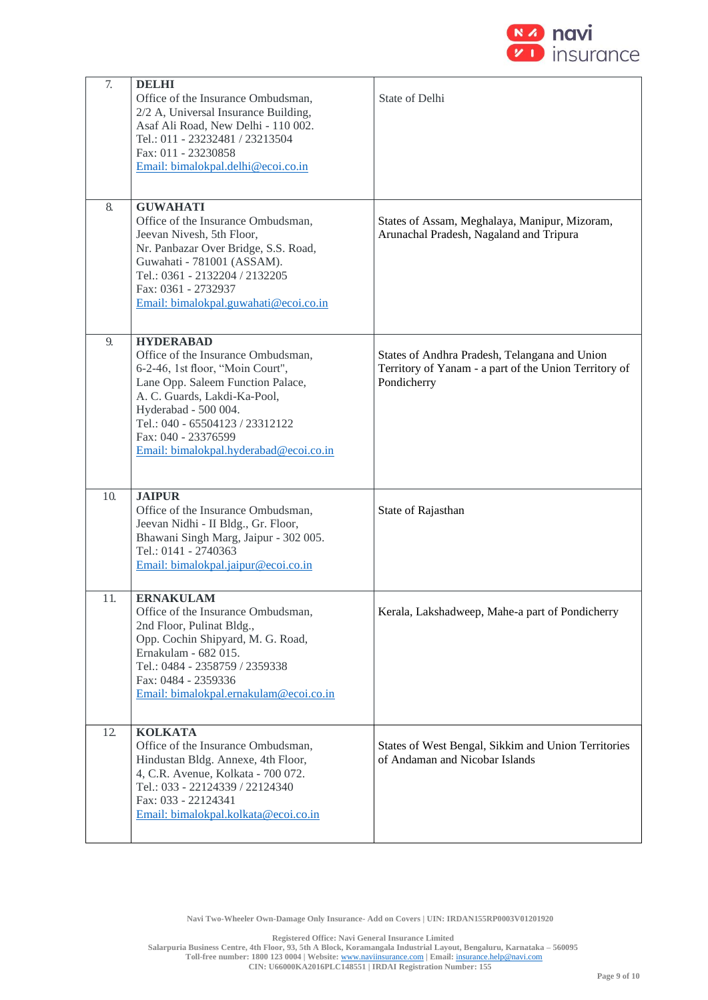

| 7.  | <b>DELHI</b><br>Office of the Insurance Ombudsman,<br>2/2 A, Universal Insurance Building,<br>Asaf Ali Road, New Delhi - 110 002.<br>Tel.: 011 - 23232481 / 23213504<br>Fax: 011 - 23230858<br>Email: bimalokpal.delhi@ecoi.co.in                                                           | State of Delhi                                                                                                        |
|-----|---------------------------------------------------------------------------------------------------------------------------------------------------------------------------------------------------------------------------------------------------------------------------------------------|-----------------------------------------------------------------------------------------------------------------------|
| 8.  | <b>GUWAHATI</b><br>Office of the Insurance Ombudsman,<br>Jeevan Nivesh, 5th Floor,<br>Nr. Panbazar Over Bridge, S.S. Road,<br>Guwahati - 781001 (ASSAM).<br>Tel.: 0361 - 2132204 / 2132205<br>Fax: 0361 - 2732937<br>Email: bimalokpal.guwahati@ecoi.co.in                                  | States of Assam, Meghalaya, Manipur, Mizoram,<br>Arunachal Pradesh, Nagaland and Tripura                              |
| 9.  | <b>HYDERABAD</b><br>Office of the Insurance Ombudsman,<br>6-2-46, 1st floor, "Moin Court",<br>Lane Opp. Saleem Function Palace,<br>A. C. Guards, Lakdi-Ka-Pool,<br>Hyderabad - 500 004.<br>Tel.: 040 - 65504123 / 23312122<br>Fax: 040 - 23376599<br>Email: bimalokpal.hyderabad@ecoi.co.in | States of Andhra Pradesh, Telangana and Union<br>Territory of Yanam - a part of the Union Territory of<br>Pondicherry |
| 10. | <b>JAIPUR</b><br>Office of the Insurance Ombudsman,<br>Jeevan Nidhi - II Bldg., Gr. Floor,<br>Bhawani Singh Marg, Jaipur - 302 005.<br>Tel.: 0141 - 2740363<br>Email: bimalokpal.jaipur@ecoi.co.in                                                                                          | State of Rajasthan                                                                                                    |
| 11. | <b>ERNAKULAM</b><br>Office of the Insurance Ombudsman,<br>2nd Floor, Pulinat Bldg.,<br>Opp. Cochin Shipyard, M. G. Road,<br>Ernakulam - 682 015.<br>Tel.: 0484 - 2358759 / 2359338<br>Fax: 0484 - 2359336<br>Email: bimalokpal.ernakulam@ecoi.co.in                                         | Kerala, Lakshadweep, Mahe-a part of Pondicherry                                                                       |
| 12. | <b>KOLKATA</b><br>Office of the Insurance Ombudsman,<br>Hindustan Bldg. Annexe, 4th Floor,<br>4, C.R. Avenue, Kolkata - 700 072.<br>Tel.: 033 - 22124339 / 22124340<br>Fax: 033 - 22124341<br>Email: bimalokpal.kolkata@ecoi.co.in                                                          | States of West Bengal, Sikkim and Union Territories<br>of Andaman and Nicobar Islands                                 |

**Navi Two-Wheeler Own-Damage Only Insurance- Add on Covers | UIN: IRDAN155RP0003V01201920**

**Registered Office: Navi General Insurance Limited**

**Salarpuria Business Centre, 4th Floor, 93, 5th A Block, Koramangala Industrial Layout, Bengaluru, Karnataka – 560095 Toll-free number: 1800 123 0004 | Website:** [www.naviinsurance.com](http://www.naviinsurance.com/) **| Email:** [insurance.help@navi.com](mailto:insurance.help@navi.com) **CIN: U66000KA2016PLC148551 | IRDAI Registration Number: 155**